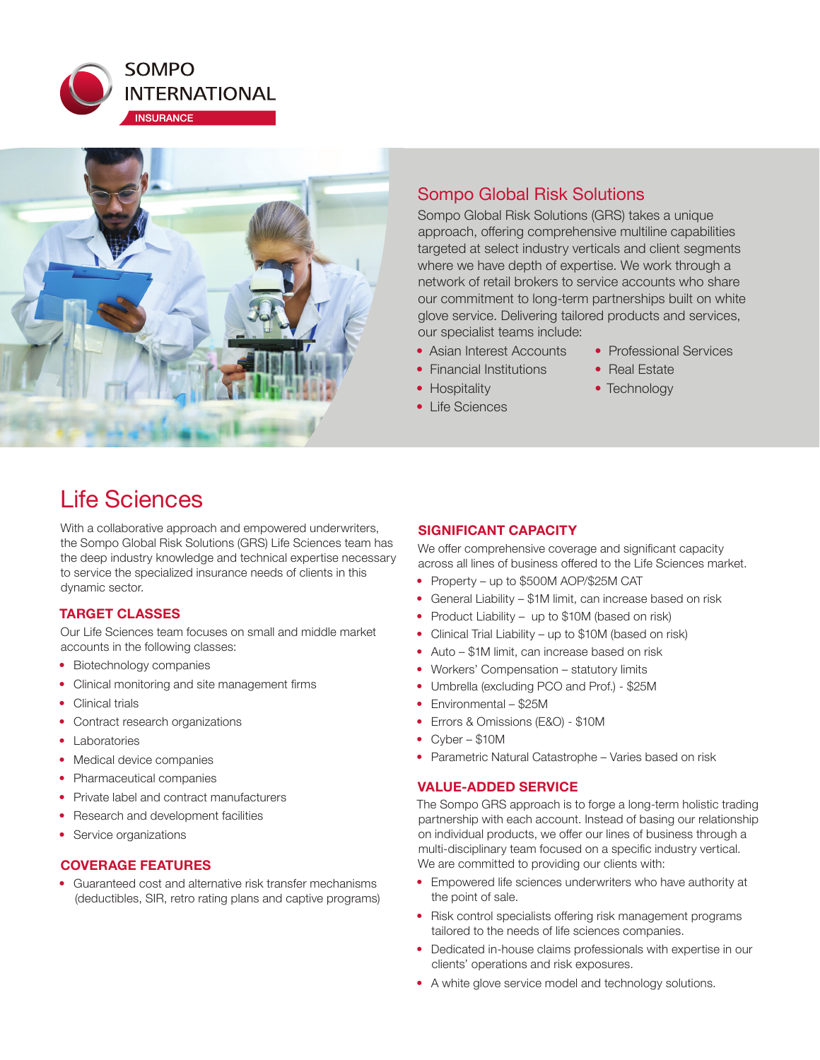



### Sompo Global Risk Solutions

Sompo Global Risk Solutions (GRS) takes a unique approach, offering comprehensive multiline capabilities targeted at select industry verticals and client segments where we have depth of expertise. We work through a network of retail brokers to service accounts who share our commitment to long-term partnerships built on white glove service. Delivering tailored products and services, our specialist teams include:

- Asian Interest Accounts
- Financial Institutions
- Hospitality
- Life Sciences
- Professional Services
- Real Estate
- Technology

## Life Sciences

With a collaborative approach and empowered underwriters, the Sompo Global Risk Solutions (GRS) Life Sciences team has the deep industry knowledge and technical expertise necessary to service the specialized insurance needs of clients in this dynamic sector.

#### **TARGET CLASSES**

Our Life Sciences team focuses on small and middle market accounts in the following classes:

- Biotechnology companies
- Clinical monitoring and site management firms
- Clinical trials
- Contract research organizations
- Laboratories
- Medical device companies
- Pharmaceutical companies
- Private label and contract manufacturers
- Research and development facilities
- Service organizations

#### **COVERAGE FEATURES**

• Guaranteed cost and alternative risk transfer mechanisms (deductibles, SIR, retro rating plans and captive programs)

#### **SIGNIFICANT CAPACITY**

We offer comprehensive coverage and significant capacity across all lines of business offered to the Life Sciences market.

- Property up to \$500M AOP/\$25M CAT
- General Liability \$1M limit, can increase based on risk
- Product Liability up to \$10M (based on risk)
- Clinical Trial Liability up to \$10M (based on risk)
- Auto \$1M limit, can increase based on risk
- Workers' Compensation statutory limits
- Umbrella (excluding PCO and Prof.) \$25M
- Environmental \$25M
- Errors & Omissions (E&O) \$10M
- Cyber \$10M
- Parametric Natural Catastrophe Varies based on risk

#### **VALUE-ADDED SERVICE**

The Sompo GRS approach is to forge a long-term holistic trading partnership with each account. Instead of basing our relationship on individual products, we offer our lines of business through a multi-disciplinary team focused on a specific industry vertical. We are committed to providing our clients with:

- Empowered life sciences underwriters who have authority at the point of sale.
- Risk control specialists offering risk management programs tailored to the needs of life sciences companies.
- Dedicated in-house claims professionals with expertise in our clients' operations and risk exposures.
- A white glove service model and technology solutions.